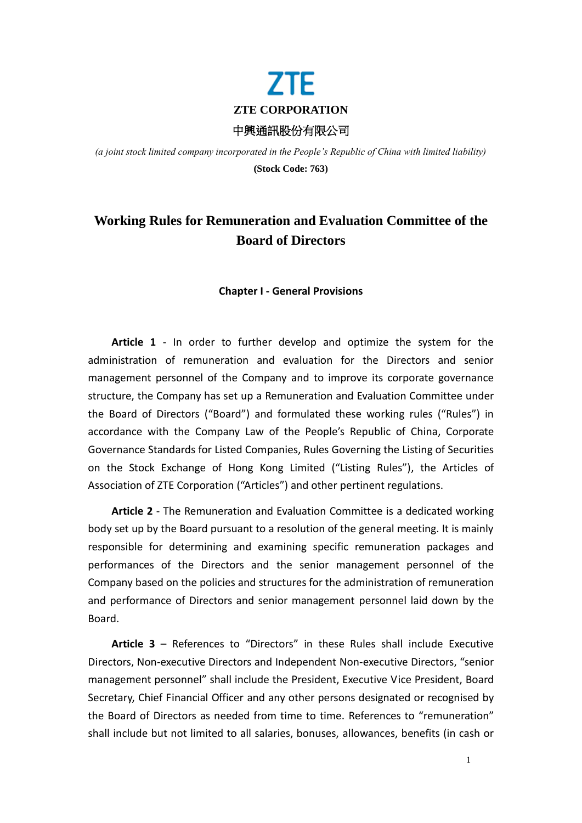

*(a joint stock limited company incorporated in the People's Republic of China with limited liability)* **(Stock Code: 763)**

# **Working Rules for Remuneration and Evaluation Committee of the Board of Directors**

# **Chapter I - General Provisions**

**Article 1** - In order to further develop and optimize the system for the administration of remuneration and evaluation for the Directors and senior management personnel of the Company and to improve its corporate governance structure, the Company has set up a Remuneration and Evaluation Committee under the Board of Directors ("Board") and formulated these working rules ("Rules") in accordance with the Company Law of the People's Republic of China, Corporate Governance Standards for Listed Companies, Rules Governing the Listing of Securities on the Stock Exchange of Hong Kong Limited ("Listing Rules"), the Articles of Association of ZTE Corporation ("Articles") and other pertinent regulations.

**Article 2** - The Remuneration and Evaluation Committee is a dedicated working body set up by the Board pursuant to a resolution of the general meeting. It is mainly responsible for determining and examining specific remuneration packages and performances of the Directors and the senior management personnel of the Company based on the policies and structures for the administration of remuneration and performance of Directors and senior management personnel laid down by the Board.

**Article 3** – References to "Directors" in these Rules shall include Executive Directors, Non-executive Directors and Independent Non-executive Directors, "senior management personnel" shall include the President, Executive Vice President, Board Secretary, Chief Financial Officer and any other persons designated or recognised by the Board of Directors as needed from time to time. References to "remuneration" shall include but not limited to all salaries, bonuses, allowances, benefits (in cash or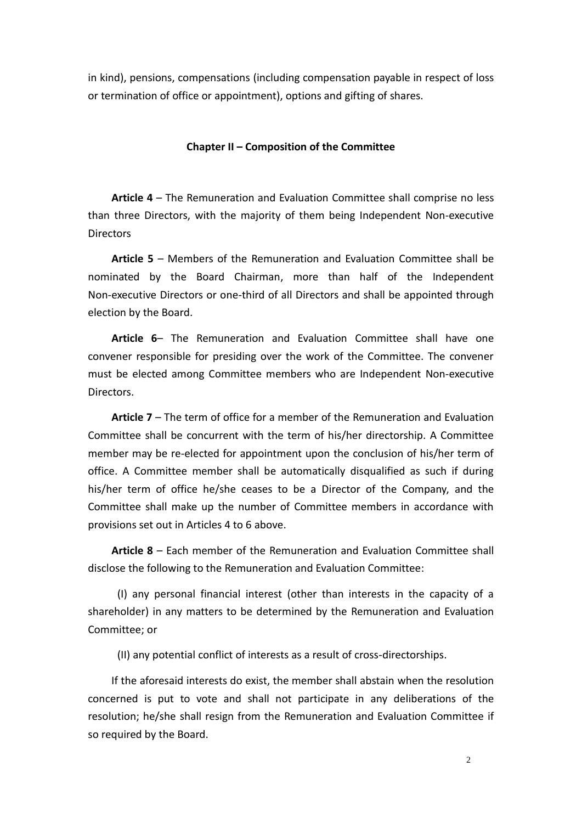in kind), pensions, compensations (including compensation payable in respect of loss or termination of office or appointment), options and gifting of shares.

# **Chapter II – Composition of the Committee**

**Article 4** – The Remuneration and Evaluation Committee shall comprise no less than three Directors, with the majority of them being Independent Non-executive **Directors** 

**Article 5** – Members of the Remuneration and Evaluation Committee shall be nominated by the Board Chairman, more than half of the Independent Non-executive Directors or one-third of all Directors and shall be appointed through election by the Board.

**Article 6**– The Remuneration and Evaluation Committee shall have one convener responsible for presiding over the work of the Committee. The convener must be elected among Committee members who are Independent Non-executive Directors.

**Article 7** – The term of office for a member of the Remuneration and Evaluation Committee shall be concurrent with the term of his/her directorship. A Committee member may be re-elected for appointment upon the conclusion of his/her term of office. A Committee member shall be automatically disqualified as such if during his/her term of office he/she ceases to be a Director of the Company, and the Committee shall make up the number of Committee members in accordance with provisions set out in Articles 4 to 6 above.

**Article 8** – Each member of the Remuneration and Evaluation Committee shall disclose the following to the Remuneration and Evaluation Committee:

(I) any personal financial interest (other than interests in the capacity of a shareholder) in any matters to be determined by the Remuneration and Evaluation Committee; or

(II) any potential conflict of interests as a result of cross-directorships.

If the aforesaid interests do exist, the member shall abstain when the resolution concerned is put to vote and shall not participate in any deliberations of the resolution; he/she shall resign from the Remuneration and Evaluation Committee if so required by the Board.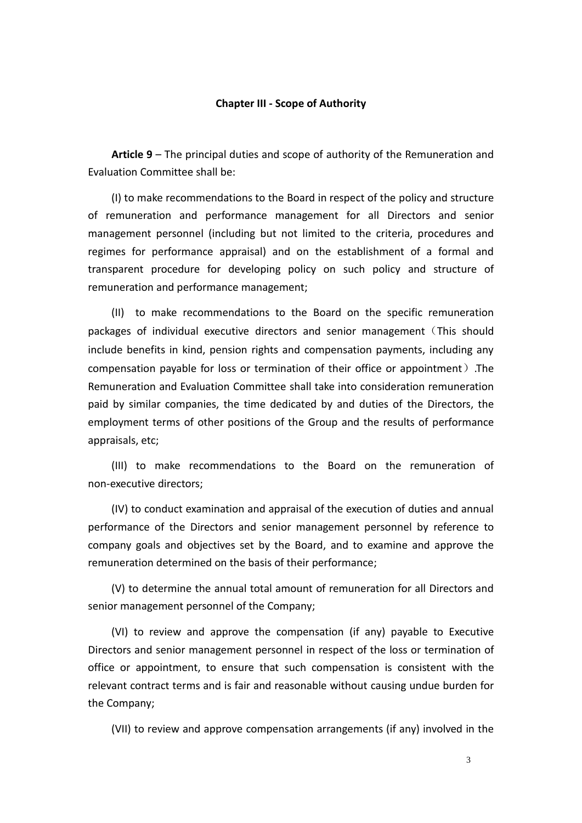#### **Chapter III - Scope of Authority**

**Article 9** – The principal duties and scope of authority of the Remuneration and Evaluation Committee shall be:

(I) to make recommendations to the Board in respect of the policy and structure of remuneration and performance management for all Directors and senior management personnel (including but not limited to the criteria, procedures and regimes for performance appraisal) and on the establishment of a formal and transparent procedure for developing policy on such policy and structure of remuneration and performance management;

(II) to make recommendations to the Board on the specific remuneration packages of individual executive directors and senior management(This should include benefits in kind, pension rights and compensation payments, including any compensation payable for loss or termination of their office or appointment).The Remuneration and Evaluation Committee shall take into consideration remuneration paid by similar companies, the time dedicated by and duties of the Directors, the employment terms of other positions of the Group and the results of performance appraisals, etc;

(III) to make recommendations to the Board on the remuneration of non-executive directors;

(IV) to conduct examination and appraisal of the execution of duties and annual performance of the Directors and senior management personnel by reference to company goals and objectives set by the Board, and to examine and approve the remuneration determined on the basis of their performance;

(V) to determine the annual total amount of remuneration for all Directors and senior management personnel of the Company;

(VI) to review and approve the compensation (if any) payable to Executive Directors and senior management personnel in respect of the loss or termination of office or appointment, to ensure that such compensation is consistent with the relevant contract terms and is fair and reasonable without causing undue burden for the Company;

(VII) to review and approve compensation arrangements (if any) involved in the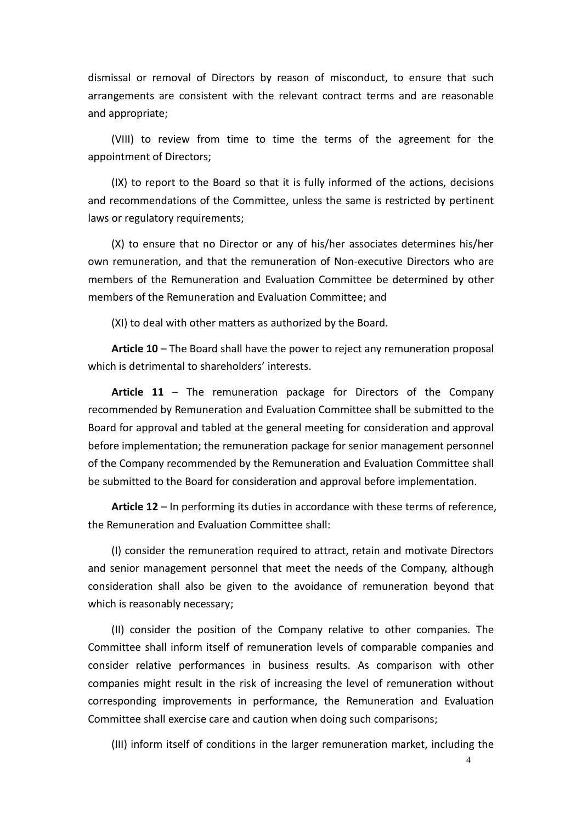dismissal or removal of Directors by reason of misconduct, to ensure that such arrangements are consistent with the relevant contract terms and are reasonable and appropriate;

(VIII) to review from time to time the terms of the agreement for the appointment of Directors;

(IX) to report to the Board so that it is fully informed of the actions, decisions and recommendations of the Committee, unless the same is restricted by pertinent laws or regulatory requirements;

(X) to ensure that no Director or any of his/her associates determines his/her own remuneration, and that the remuneration of Non-executive Directors who are members of the Remuneration and Evaluation Committee be determined by other members of the Remuneration and Evaluation Committee; and

(XI) to deal with other matters as authorized by the Board.

**Article 10** – The Board shall have the power to reject any remuneration proposal which is detrimental to shareholders' interests.

**Article 11** – The remuneration package for Directors of the Company recommended by Remuneration and Evaluation Committee shall be submitted to the Board for approval and tabled at the general meeting for consideration and approval before implementation; the remuneration package for senior management personnel of the Company recommended by the Remuneration and Evaluation Committee shall be submitted to the Board for consideration and approval before implementation.

**Article 12** – In performing its duties in accordance with these terms of reference, the Remuneration and Evaluation Committee shall:

(I) consider the remuneration required to attract, retain and motivate Directors and senior management personnel that meet the needs of the Company, although consideration shall also be given to the avoidance of remuneration beyond that which is reasonably necessary;

(II) consider the position of the Company relative to other companies. The Committee shall inform itself of remuneration levels of comparable companies and consider relative performances in business results. As comparison with other companies might result in the risk of increasing the level of remuneration without corresponding improvements in performance, the Remuneration and Evaluation Committee shall exercise care and caution when doing such comparisons;

(III) inform itself of conditions in the larger remuneration market, including the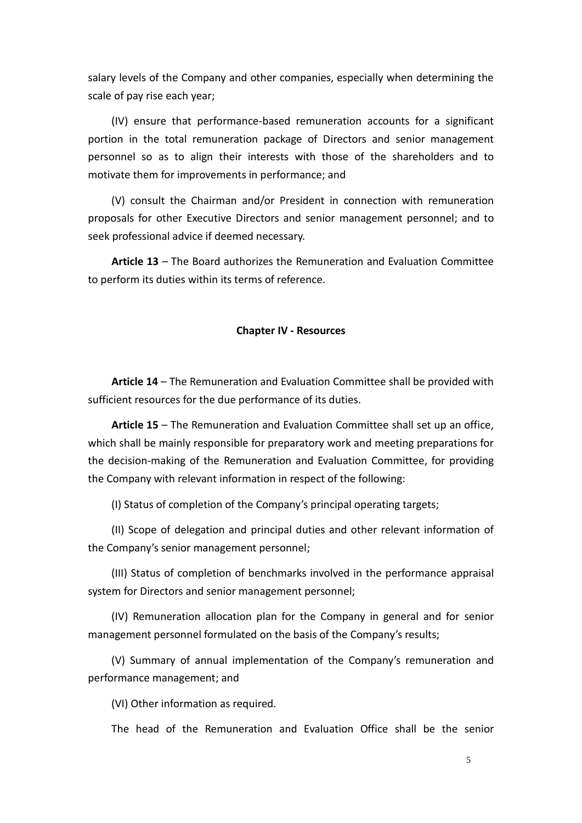salary levels of the Company and other companies, especially when determining the scale of pay rise each year;

(IV) ensure that performance-based remuneration accounts for a significant portion in the total remuneration package of Directors and senior management personnel so as to align their interests with those of the shareholders and to motivate them for improvements in performance; and

(V) consult the Chairman and/or President in connection with remuneration proposals for other Executive Directors and senior management personnel; and to seek professional advice if deemed necessary.

**Article 13** – The Board authorizes the Remuneration and Evaluation Committee to perform its duties within its terms of reference.

#### **Chapter IV - Resources**

**Article 14** – The Remuneration and Evaluation Committee shall be provided with sufficient resources for the due performance of its duties.

**Article 15** – The Remuneration and Evaluation Committee shall set up an office, which shall be mainly responsible for preparatory work and meeting preparations for the decision-making of the Remuneration and Evaluation Committee, for providing the Company with relevant information in respect of the following:

(I) Status of completion of the Company's principal operating targets;

(II) Scope of delegation and principal duties and other relevant information of the Company's senior management personnel;

(III) Status of completion of benchmarks involved in the performance appraisal system for Directors and senior management personnel;

(IV) Remuneration allocation plan for the Company in general and for senior management personnel formulated on the basis of the Company's results;

(V) Summary of annual implementation of the Company's remuneration and performance management; and

(VI) Other information as required.

The head of the Remuneration and Evaluation Office shall be the senior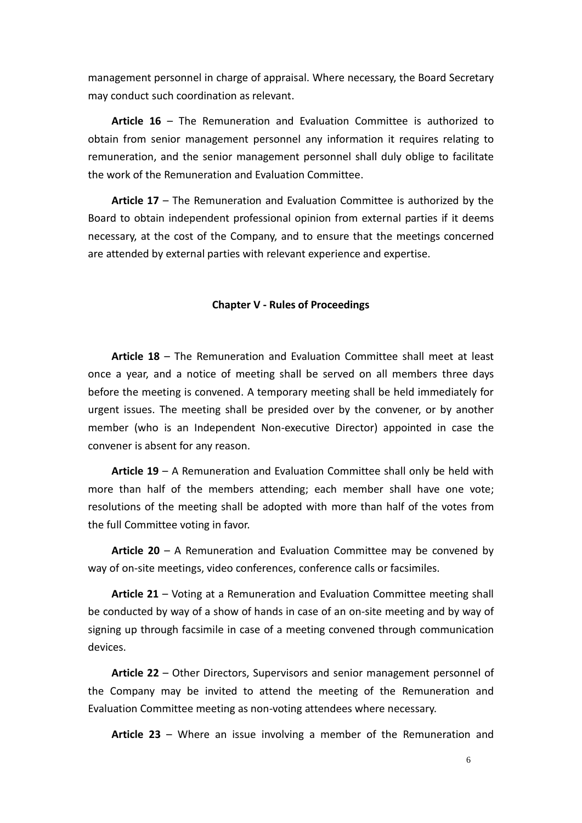management personnel in charge of appraisal. Where necessary, the Board Secretary may conduct such coordination as relevant.

**Article 16** – The Remuneration and Evaluation Committee is authorized to obtain from senior management personnel any information it requires relating to remuneration, and the senior management personnel shall duly oblige to facilitate the work of the Remuneration and Evaluation Committee.

**Article 17** – The Remuneration and Evaluation Committee is authorized by the Board to obtain independent professional opinion from external parties if it deems necessary, at the cost of the Company, and to ensure that the meetings concerned are attended by external parties with relevant experience and expertise.

# **Chapter V - Rules of Proceedings**

**Article 18** – The Remuneration and Evaluation Committee shall meet at least once a year, and a notice of meeting shall be served on all members three days before the meeting is convened. A temporary meeting shall be held immediately for urgent issues. The meeting shall be presided over by the convener, or by another member (who is an Independent Non-executive Director) appointed in case the convener is absent for any reason.

**Article 19** – A Remuneration and Evaluation Committee shall only be held with more than half of the members attending; each member shall have one vote; resolutions of the meeting shall be adopted with more than half of the votes from the full Committee voting in favor.

**Article 20** – A Remuneration and Evaluation Committee may be convened by way of on-site meetings, video conferences, conference calls or facsimiles.

**Article 21** – Voting at a Remuneration and Evaluation Committee meeting shall be conducted by way of a show of hands in case of an on-site meeting and by way of signing up through facsimile in case of a meeting convened through communication devices.

**Article 22** – Other Directors, Supervisors and senior management personnel of the Company may be invited to attend the meeting of the Remuneration and Evaluation Committee meeting as non-voting attendees where necessary.

**Article 23** – Where an issue involving a member of the Remuneration and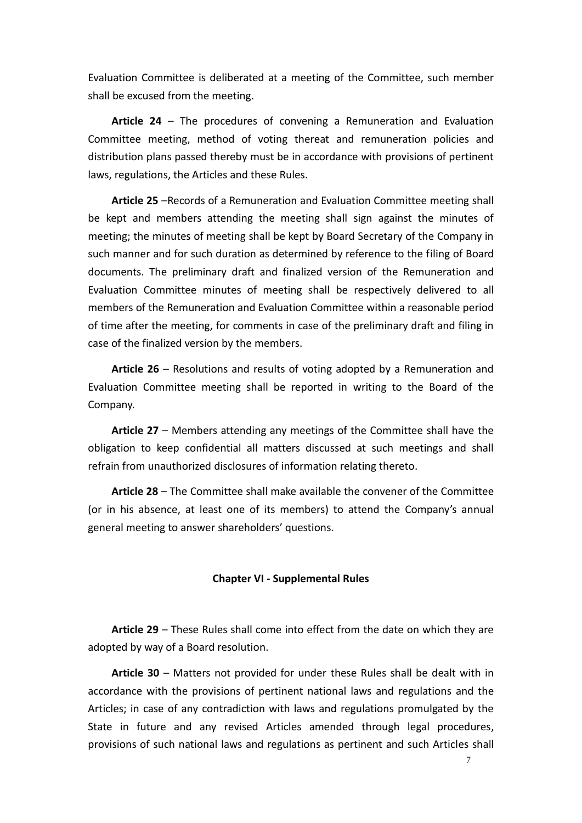Evaluation Committee is deliberated at a meeting of the Committee, such member shall be excused from the meeting.

**Article 24** – The procedures of convening a Remuneration and Evaluation Committee meeting, method of voting thereat and remuneration policies and distribution plans passed thereby must be in accordance with provisions of pertinent laws, regulations, the Articles and these Rules.

**Article 25** –Records of a Remuneration and Evaluation Committee meeting shall be kept and members attending the meeting shall sign against the minutes of meeting; the minutes of meeting shall be kept by Board Secretary of the Company in such manner and for such duration as determined by reference to the filing of Board documents. The preliminary draft and finalized version of the Remuneration and Evaluation Committee minutes of meeting shall be respectively delivered to all members of the Remuneration and Evaluation Committee within a reasonable period of time after the meeting, for comments in case of the preliminary draft and filing in case of the finalized version by the members.

**Article 26** – Resolutions and results of voting adopted by a Remuneration and Evaluation Committee meeting shall be reported in writing to the Board of the Company.

**Article 27** – Members attending any meetings of the Committee shall have the obligation to keep confidential all matters discussed at such meetings and shall refrain from unauthorized disclosures of information relating thereto.

**Article 28** – The Committee shall make available the convener of the Committee (or in his absence, at least one of its members) to attend the Company's annual general meeting to answer shareholders' questions.

# **Chapter VI - Supplemental Rules**

**Article 29** – These Rules shall come into effect from the date on which they are adopted by way of a Board resolution.

**Article 30** – Matters not provided for under these Rules shall be dealt with in accordance with the provisions of pertinent national laws and regulations and the Articles; in case of any contradiction with laws and regulations promulgated by the State in future and any revised Articles amended through legal procedures, provisions of such national laws and regulations as pertinent and such Articles shall